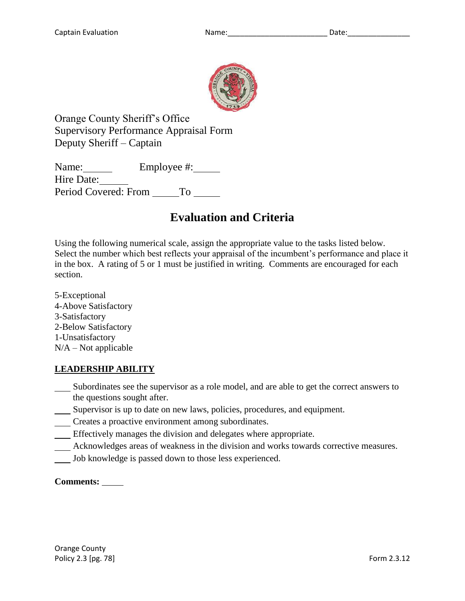

Orange County Sheriff's Office Supervisory Performance Appraisal Form Deputy Sheriff – Captain

Name: Employee #: Hire Date: Period Covered: From To

# **Evaluation and Criteria**

Using the following numerical scale, assign the appropriate value to the tasks listed below. Select the number which best reflects your appraisal of the incumbent's performance and place it in the box. A rating of 5 or 1 must be justified in writing. Comments are encouraged for each section.

5-Exceptional 4-Above Satisfactory 3-Satisfactory 2-Below Satisfactory 1-Unsatisfactory  $N/A - Not$  applicable

# **LEADERSHIP ABILITY**

- Subordinates see the supervisor as a role model, and are able to get the correct answers to the questions sought after.
- Supervisor is up to date on new laws, policies, procedures, and equipment.
- Creates a proactive environment among subordinates.
- Effectively manages the division and delegates where appropriate.
- Acknowledges areas of weakness in the division and works towards corrective measures.
- Job knowledge is passed down to those less experienced.

## **Comments:**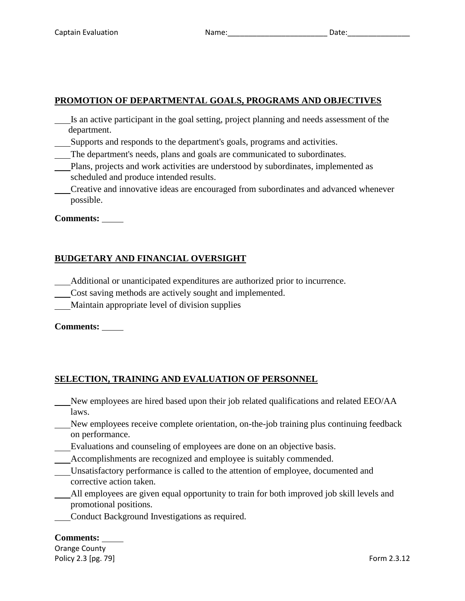# **PROMOTION OF DEPARTMENTAL GOALS, PROGRAMS AND OBJECTIVES**

- Is an active participant in the goal setting, project planning and needs assessment of the department.
- Supports and responds to the department's goals, programs and activities.
- The department's needs, plans and goals are communicated to subordinates.
- Plans, projects and work activities are understood by subordinates, implemented as scheduled and produce intended results.
- Creative and innovative ideas are encouraged from subordinates and advanced whenever possible.

**Comments:**

# **BUDGETARY AND FINANCIAL OVERSIGHT**

- Additional or unanticipated expenditures are authorized prior to incurrence.
- Cost saving methods are actively sought and implemented.
- Maintain appropriate level of division supplies

**Comments:**

# **SELECTION, TRAINING AND EVALUATION OF PERSONNEL**

- New employees are hired based upon their job related qualifications and related EEO/AA laws.
- New employees receive complete orientation, on-the-job training plus continuing feedback on performance.
- Evaluations and counseling of employees are done on an objective basis.
- Accomplishments are recognized and employee is suitably commended.
- Unsatisfactory performance is called to the attention of employee, documented and corrective action taken.
- All employees are given equal opportunity to train for both improved job skill levels and promotional positions.
- Conduct Background Investigations as required.

#### **Comments:**

Orange County Policy 2.3 [pg. 79] **Form 2.3.12**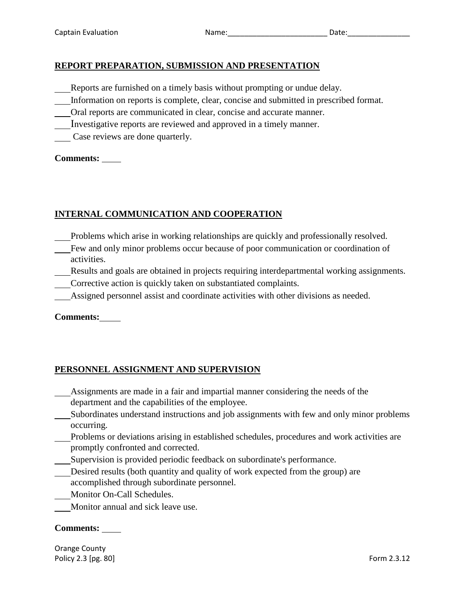## **REPORT PREPARATION, SUBMISSION AND PRESENTATION**

- Reports are furnished on a timely basis without prompting or undue delay.
- Information on reports is complete, clear, concise and submitted in prescribed format.
- Oral reports are communicated in clear, concise and accurate manner.
- Investigative reports are reviewed and approved in a timely manner.
- Case reviews are done quarterly.

**Comments:**

## **INTERNAL COMMUNICATION AND COOPERATION**

- Problems which arise in working relationships are quickly and professionally resolved.
- Few and only minor problems occur because of poor communication or coordination of activities.
	- Results and goals are obtained in projects requiring interdepartmental working assignments.
- Corrective action is quickly taken on substantiated complaints.
- Assigned personnel assist and coordinate activities with other divisions as needed.

**Comments:**

## **PERSONNEL ASSIGNMENT AND SUPERVISION**

- Assignments are made in a fair and impartial manner considering the needs of the department and the capabilities of the employee.
- Subordinates understand instructions and job assignments with few and only minor problems occurring.
- Problems or deviations arising in established schedules, procedures and work activities are promptly confronted and corrected.
- Supervision is provided periodic feedback on subordinate's performance.
- Desired results (both quantity and quality of work expected from the group) are accomplished through subordinate personnel.
- Monitor On-Call Schedules.
- Monitor annual and sick leave use.

#### **Comments:**

Orange County Policy 2.3 [pg. 80] **Form 2.3.12** Form 2.3.12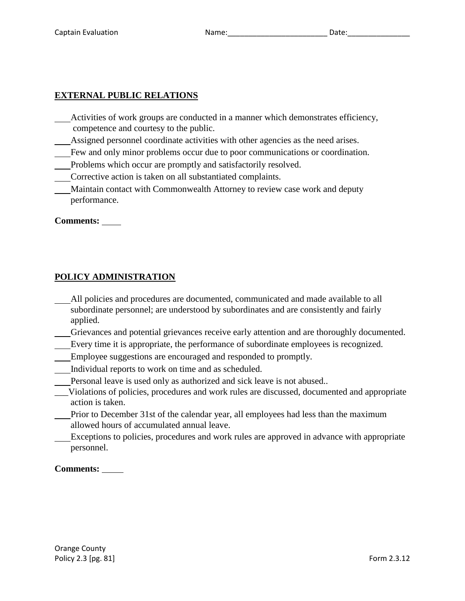# **EXTERNAL PUBLIC RELATIONS**

- Activities of work groups are conducted in a manner which demonstrates efficiency, competence and courtesy to the public.
- Assigned personnel coordinate activities with other agencies as the need arises.
- Few and only minor problems occur due to poor communications or coordination.
- Problems which occur are promptly and satisfactorily resolved.
- Corrective action is taken on all substantiated complaints.
- Maintain contact with Commonwealth Attorney to review case work and deputy performance.

#### **Comments:**

#### **POLICY ADMINISTRATION**

- All policies and procedures are documented, communicated and made available to all subordinate personnel; are understood by subordinates and are consistently and fairly applied.
- Grievances and potential grievances receive early attention and are thoroughly documented.
- Every time it is appropriate, the performance of subordinate employees is recognized.
- Employee suggestions are encouraged and responded to promptly.
- Individual reports to work on time and as scheduled.
- Personal leave is used only as authorized and sick leave is not abused..
- \_\_\_Violations of policies, procedures and work rules are discussed, documented and appropriate action is taken.
- Prior to December 31st of the calendar year, all employees had less than the maximum allowed hours of accumulated annual leave.
- Exceptions to policies, procedures and work rules are approved in advance with appropriate personnel.

#### **Comments:**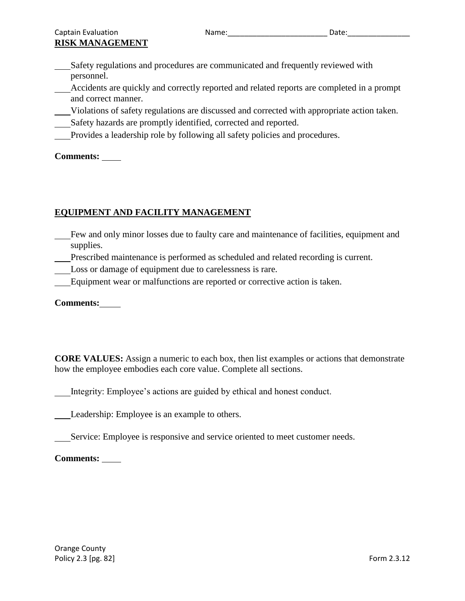Safety regulations and procedures are communicated and frequently reviewed with personnel.

Accidents are quickly and correctly reported and related reports are completed in a prompt and correct manner.

- Violations of safety regulations are discussed and corrected with appropriate action taken.
- Safety hazards are promptly identified, corrected and reported.
- Provides a leadership role by following all safety policies and procedures.

**Comments:**

# **EQUIPMENT AND FACILITY MANAGEMENT**

- Few and only minor losses due to faulty care and maintenance of facilities, equipment and supplies.
- Prescribed maintenance is performed as scheduled and related recording is current.
- Loss or damage of equipment due to carelessness is rare.
- Equipment wear or malfunctions are reported or corrective action is taken.

## **Comments:**

**CORE VALUES:** Assign a numeric to each box, then list examples or actions that demonstrate how the employee embodies each core value. Complete all sections.

Integrity: Employee's actions are guided by ethical and honest conduct.

Leadership: Employee is an example to others.

Service: Employee is responsive and service oriented to meet customer needs.

**Comments:**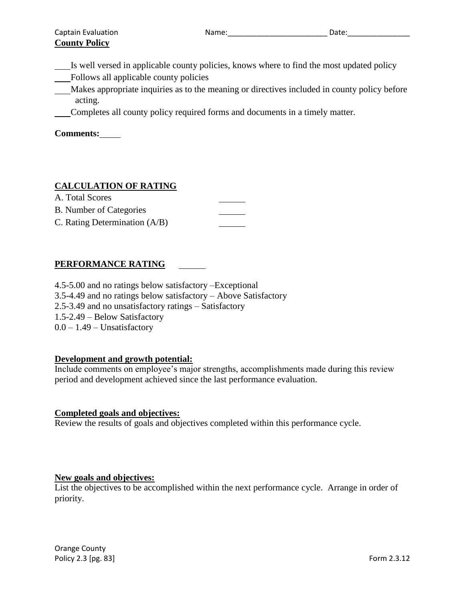Is well versed in applicable county policies, knows where to find the most updated policy

Follows all applicable county policies

Makes appropriate inquiries as to the meaning or directives included in county policy before acting.

Completes all county policy required forms and documents in a timely matter.

**Comments:**

# **CALCULATION OF RATING**

| A. Total Scores                 |  |
|---------------------------------|--|
| <b>B.</b> Number of Categories  |  |
| C. Rating Determination $(A/B)$ |  |

# **PERFORMANCE RATING**

4.5-5.00 and no ratings below satisfactory –Exceptional 3.5-4.49 and no ratings below satisfactory – Above Satisfactory 2.5-3.49 and no unsatisfactory ratings – Satisfactory 1.5-2.49 – Below Satisfactory  $0.0 - 1.49$  – Unsatisfactory

## **Development and growth potential:**

Include comments on employee's major strengths, accomplishments made during this review period and development achieved since the last performance evaluation.

## **Completed goals and objectives:**

Review the results of goals and objectives completed within this performance cycle.

#### **New goals and objectives:**

List the objectives to be accomplished within the next performance cycle. Arrange in order of priority.